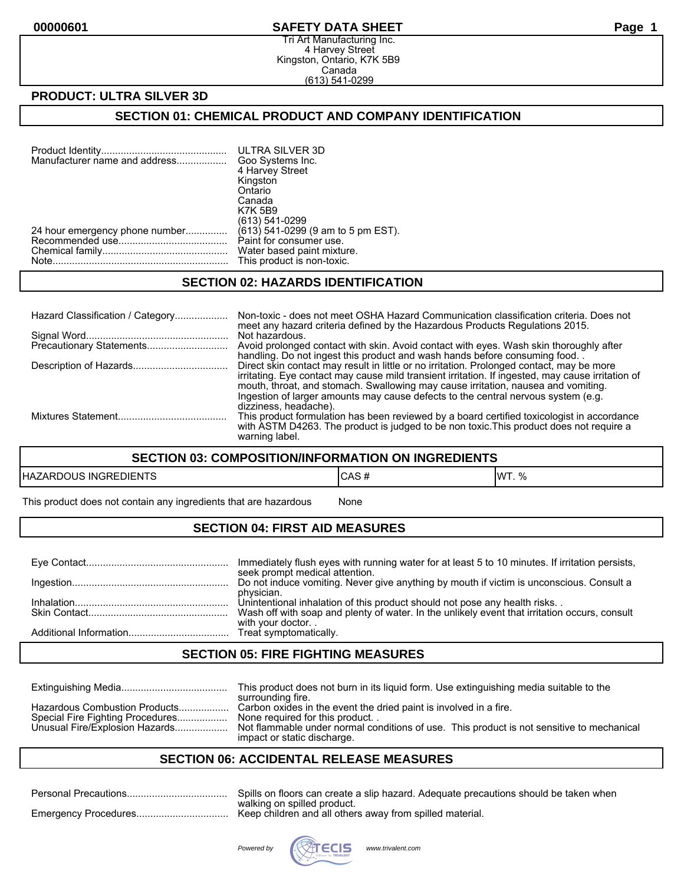#### **00000601 SAFETY DATA SHEET Page 1**

Tri Art Manufacturing Inc. 4 Harvey Street Kingston, Ontario, K7K 5B9 Canada (613) 541-0299

### **PRODUCT: ULTRA SILVER 3D**

### **SECTION 01: CHEMICAL PRODUCT AND COMPANY IDENTIFICATION**

| Manufacturer name and address  | ULTRA SILVER 3D<br>Goo Systems Inc. |
|--------------------------------|-------------------------------------|
|                                | 4 Harvey Street                     |
|                                | Kingston                            |
|                                | Ontario                             |
|                                | Canada                              |
|                                | <b>K7K 5B9</b>                      |
|                                | (613) 541-0299                      |
| 24 hour emergency phone number | (613) 541-0299 (9 am to 5 pm EST).  |
|                                | Paint for consumer use.             |
|                                | Water based paint mixture.          |
|                                | This product is non-toxic.          |
|                                |                                     |

#### **SECTION 02: HAZARDS IDENTIFICATION**

| Hazard Classification / Category | Non-toxic - does not meet OSHA Hazard Communication classification criteria. Does not<br>meet any hazard criteria defined by the Hazardous Products Regulations 2015.                                                                                                                                                                                                    |
|----------------------------------|--------------------------------------------------------------------------------------------------------------------------------------------------------------------------------------------------------------------------------------------------------------------------------------------------------------------------------------------------------------------------|
|                                  | Not hazardous.<br>Avoid prolonged contact with skin. Avoid contact with eyes. Wash skin thoroughly after<br>handling. Do not ingest this product and wash hands before consuming food.                                                                                                                                                                                   |
|                                  | Direct skin contact may result in little or no irritation. Prolonged contact, may be more<br>irritating. Eye contact may cause mild transient irritation. If ingested, may cause irritation of<br>mouth, throat, and stomach. Swallowing may cause irritation, nausea and vomiting.<br>Ingestion of larger amounts may cause defects to the central nervous system (e.g. |
|                                  | dizziness, headache).<br>This product formulation has been reviewed by a board certified toxicologist in accordance<br>with ASTM D4263. The product is judged to be non toxic. This product does not require a<br>warning label.                                                                                                                                         |

#### **SECTION 03: COMPOSITION/INFORMATION ON INGREDIENTS**

| EDIENTS      | . E        | 11MT |
|--------------|------------|------|
| HAZARDOUS    | טרש        | 0/2  |
| <b>INGRE</b> | $\bm{\pi}$ | 1.70 |

This product does not contain any ingredients that are hazardous Mone

## **SECTION 04: FIRST AID MEASURES**

| Immediately flush eyes with running water for at least 5 to 10 minutes. If irritation persists,<br>seek prompt medical attention. |
|-----------------------------------------------------------------------------------------------------------------------------------|
| Do not induce vomiting. Never give anything by mouth if victim is unconscious. Consult a                                          |
| physician.<br>Unintentional inhalation of this product should not pose any health risks                                           |
| Wash off with soap and plenty of water. In the unlikely event that irritation occurs, consult<br>with your doctor                 |
|                                                                                                                                   |

### **SECTION 05: FIRE FIGHTING MEASURES**

|                                                                                                     | This product does not burn in its liquid form. Use extinguishing media suitable to the<br>surrounding fire.                                                                                                                     |
|-----------------------------------------------------------------------------------------------------|---------------------------------------------------------------------------------------------------------------------------------------------------------------------------------------------------------------------------------|
| Hazardous Combustion Products<br>Special Fire Fighting Procedures<br>Unusual Fire/Explosion Hazards | Carbon oxides in the event the dried paint is involved in a fire.<br>None required for this product<br>Not flammable under normal conditions of use. This product is not sensitive to mechanical<br>impact or static discharge. |

## **SECTION 06: ACCIDENTAL RELEASE MEASURES**

| Spills on floors can create a slip hazard. Adequate precautions should be taken when |
|--------------------------------------------------------------------------------------|
| walking on spilled product.                                                          |

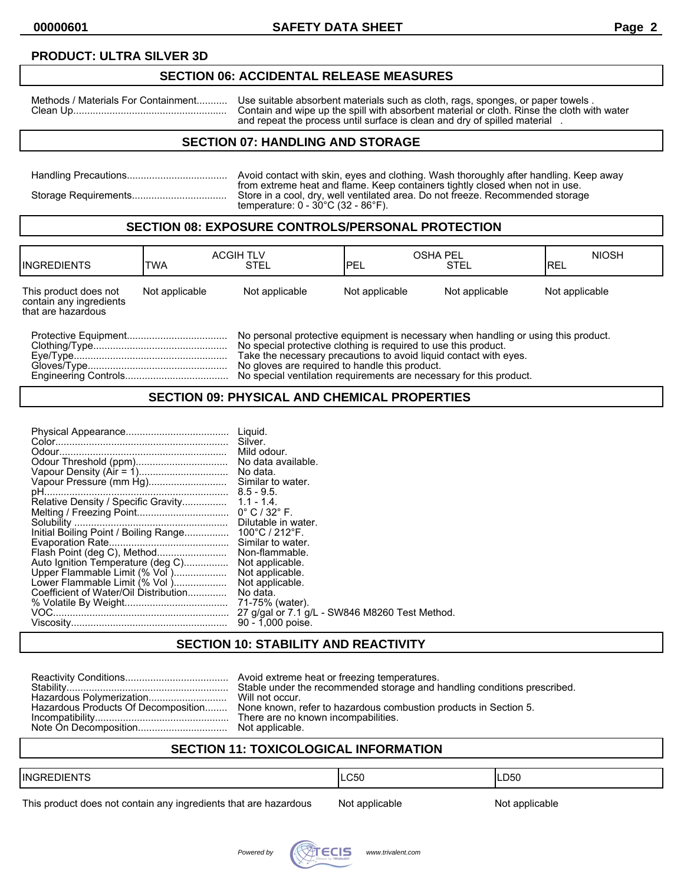## **PRODUCT: ULTRA SILVER 3D**

#### **SECTION 06: ACCIDENTAL RELEASE MEASURES**

Methods / Materials For Containment........... Use suitable absorbent materials such as cloth, rags, sponges, or paper towels . Clean Up....................................................... Contain and wipe up the spill with absorbent material or cloth. Rinse the cloth with water and repeat the process until surface is clean and dry of spilled material .

## **SECTION 07: HANDLING AND STORAGE**

| Avoid contact with skin, eyes and clothing. Wash thoroughly after handling. Keep away                                                                                                                                     |
|---------------------------------------------------------------------------------------------------------------------------------------------------------------------------------------------------------------------------|
| from extreme heat and flame. Keep containers tightly closed when not in use.<br>Store in a cool, dry, well ventilated area. Do not freeze. Recommended storage<br>temperature: $0 - 30^{\circ}$ C (32 - 86 $^{\circ}$ F). |

#### **SECTION 08: EXPOSURE CONTROLS/PERSONAL PROTECTION**

| <b>IINGREDIENTS</b>                                                    | TWA            | <b>ACGIH TLV</b><br>STEL                                                                                                                                                                                                                                                     | <b>OSHA PEL</b><br><b>IPEL</b> | <b>STEL</b>    | <b>NIOSH</b><br>IREL |
|------------------------------------------------------------------------|----------------|------------------------------------------------------------------------------------------------------------------------------------------------------------------------------------------------------------------------------------------------------------------------------|--------------------------------|----------------|----------------------|
| This product does not<br>contain any ingredients<br>that are hazardous | Not applicable | Not applicable                                                                                                                                                                                                                                                               | Not applicable                 | Not applicable | Not applicable       |
|                                                                        |                | No personal protective equipment is necessary when handling or using this product.<br>No special protective clothing is required to use this product.<br>Take the necessary precautions to avoid liquid contact with eves.<br>No gloves are required to handle this product. |                                |                |                      |

Engineering Controls..................................... No special ventilation requirements are necessary for this product.

#### **SECTION 09: PHYSICAL AND CHEMICAL PROPERTIES**

| Auto Ignition Temperature (deg C)<br>Upper Flammable Limit (% Vol )<br>Lower Flammable Limit (% Vol)<br>Coefficient of Water/Oil Distribution | Liguid.<br>Silver.<br>Mild odour.<br>No data.<br>Similar to water.<br>Dilutable in water.<br>Similar to water.<br>Non-flammable.<br>Not applicable.<br>Not applicable.<br>Not applicable.<br>No data.<br>71-75% (water).<br>27 g/gal or 7.1 g/L - SW846 M8260 Test Method.<br>90 - 1,000 poise. |
|-----------------------------------------------------------------------------------------------------------------------------------------------|-------------------------------------------------------------------------------------------------------------------------------------------------------------------------------------------------------------------------------------------------------------------------------------------------|
|-----------------------------------------------------------------------------------------------------------------------------------------------|-------------------------------------------------------------------------------------------------------------------------------------------------------------------------------------------------------------------------------------------------------------------------------------------------|

## **SECTION 10: STABILITY AND REACTIVITY**

| Hazardous Products Of Decomposition None known, refer to hazardous combustion products in Section 5. |
|------------------------------------------------------------------------------------------------------|

## **SECTION 11: TOXICOLOGICAL INFORMATION**

| $-$<br><b>IINGRED</b><br>DI⊢N I | CEC<br>◡◡ | D50<br>$ -$ |
|---------------------------------|-----------|-------------|
|                                 |           |             |

This product does not contain any ingredients that are hazardous Not applicable Not applicable

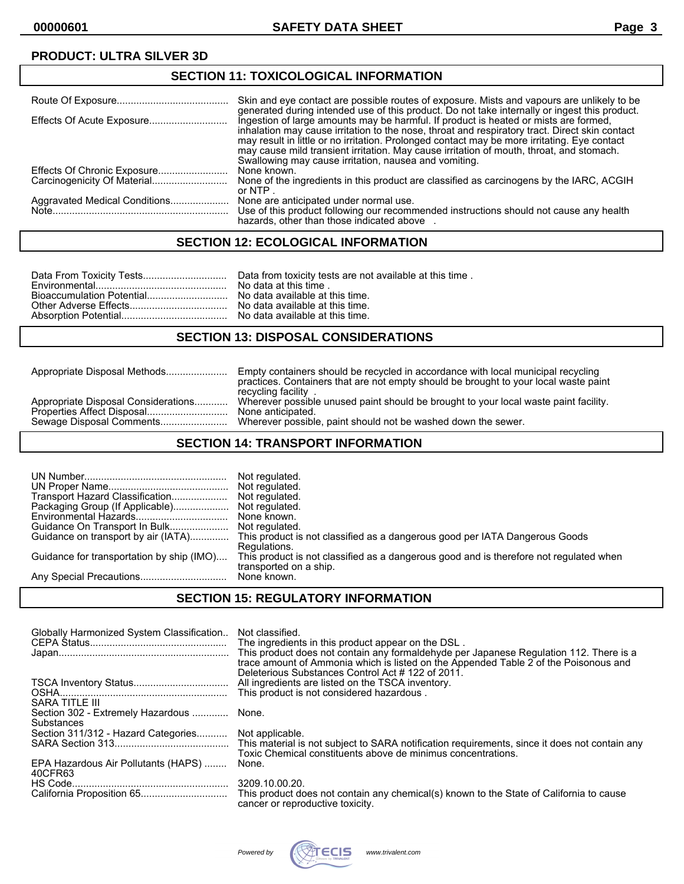## **PRODUCT: ULTRA SILVER 3D**

#### **SECTION 11: TOXICOLOGICAL INFORMATION** Route Of Exposure........................................ Skin and eye contact are possible routes of exposure. Mists and vapours are unlikely to be generated during intended use of this product. Do not take internally or ingest this product. Effects Of Acute Exposure............................ Ingestion of large amounts may be harmful. If product is heated or mists are formed, inhalation may cause irritation to the nose, throat and respiratory tract. Direct skin contact may result in little or no irritation. Prolonged contact may be more irritating. Eye contact may cause mild transient irritation. May cause irritation of mouth, throat, and stomach. Swallowing may cause irritation, nausea and vomiting. Effects Of Chronic Exposure.........................<br>Carcinogenicity Of Material............................ None of the ingredients in this product are classified as carcinogens by the IARC, ACGIH or NTP .<br>None are anticipated under normal use. Aggravated Medical Conditions.................... Note............................................................... Use of this product following our recommended instructions should not cause any health hazards, other than those indicated above .

## **SECTION 12: ECOLOGICAL INFORMATION**

#### **SECTION 13: DISPOSAL CONSIDERATIONS**

Appropriate Disposal Methods...................... Empty containers should be recycled in accordance with local municipal recycling practices. Containers that are not empty should be brought to your local waste paint recycling facility . Appropriate Disposal Considerations............ Wherever possible unused paint should be brought to your local waste paint facility.<br>Properties Affect Disposal.................................. None anticipated. Properties Affect Disposal..............................<br>Sewage Disposal Comments....................... Wherever possible, paint should not be washed down the sewer.

## **SECTION 14: TRANSPORT INFORMATION**

| Transport Hazard Classification<br>Packaging Group (If Applicable)<br>Guidance for transportation by ship (IMO) | Not regulated.<br>Not regulated.<br>Not regulated.<br>Not regulated.<br>Guidance on transport by air (IATA) This product is not classified as a dangerous good per IATA Dangerous Goods<br>Regulations.<br>This product is not classified as a dangerous good and is therefore not regulated when<br>transported on a ship. |
|-----------------------------------------------------------------------------------------------------------------|-----------------------------------------------------------------------------------------------------------------------------------------------------------------------------------------------------------------------------------------------------------------------------------------------------------------------------|
|                                                                                                                 | None known.                                                                                                                                                                                                                                                                                                                 |

## **SECTION 15: REGULATORY INFORMATION**

| Globally Harmonized System Classification              | Not classified.<br>The ingredients in this product appear on the DSL.<br>This product does not contain any formaldehyde per Japanese Regulation 112. There is a<br>trace amount of Ammonia which is listed on the Appended Table 2 of the Poisonous and |
|--------------------------------------------------------|---------------------------------------------------------------------------------------------------------------------------------------------------------------------------------------------------------------------------------------------------------|
| SARA TITLE III                                         | Deleterious Substances Control Act #122 of 2011.<br>All ingredients are listed on the TSCA inventory.<br>This product is not considered hazardous.                                                                                                      |
| Section 302 - Extremely Hazardous  None.<br>Substances |                                                                                                                                                                                                                                                         |
| Section 311/312 - Hazard Categories Not applicable.    | Toxic Chemical constituents above de minimus concentrations.                                                                                                                                                                                            |
| EPA Hazardous Air Pollutants (HAPS)<br>40CFR63         | None.                                                                                                                                                                                                                                                   |
|                                                        | 3209.10.00.20.<br>This product does not contain any chemical(s) known to the State of California to cause<br>cancer or reproductive toxicity.                                                                                                           |